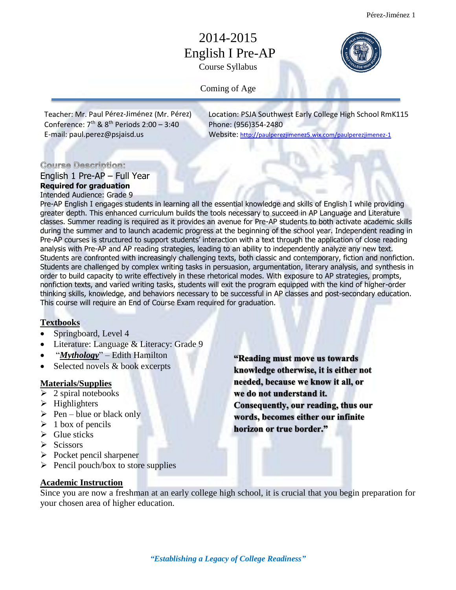# 2014-2015 English I Pre-AP Course Syllabus



Coming of Age

Conference: 7<sup>th</sup> & 8

Teacher: Mr. Paul Pérez-Jiménez (Mr. Pérez) Location: PSJA Southwest Early College High School RmK115 Phone: (956)354-2480 E-mail: [paul.perez@psjaisd.us](mailto:paul.perez@psjaisd.us) Website: <http://paulperezjimenez5.wix.com/paulperezjimenez-1>

#### **Course Description:**

English 1 Pre-AP – Full Year **Required for graduation**  Intended Audience: Grade 9

Pre-AP English I engages students in learning all the essential knowledge and skills of English I while providing greater depth. This enhanced curriculum builds the tools necessary to succeed in AP Language and Literature classes. Summer reading is required as it provides an avenue for Pre-AP students to both activate academic skills during the summer and to launch academic progress at the beginning of the school year. Independent reading in Pre-AP courses is structured to support students' interaction with a text through the application of close reading analysis with Pre-AP and AP reading strategies, leading to an ability to independently analyze any new text. Students are confronted with increasingly challenging texts, both classic and contemporary, fiction and nonfiction. Students are challenged by complex writing tasks in persuasion, argumentation, literary analysis, and synthesis in order to build capacity to write effectively in these rhetorical modes. With exposure to AP strategies, prompts, nonfiction texts, and varied writing tasks, students will exit the program equipped with the kind of higher-order thinking skills, knowledge, and behaviors necessary to be successful in AP classes and post-secondary education. This course will require an End of Course Exam required for graduation.

## **Textbooks**

- Springboard, Level 4
- Literature: Language & Literacy: Grade 9
- "*Mythology*" Edith Hamilton
- Selected novels & book excerpts

#### **Materials/Supplies**

- $\geq$  2 spiral notebooks
- $\triangleright$  Highlighters
- $\triangleright$  Pen blue or black only
- $\geq 1$  box of pencils
- $\triangleright$  Glue sticks
- $\triangleright$  Scissors
- $\triangleright$  Pocket pencil sharpener
- $\triangleright$  Pencil pouch/box to store supplies

"Reading must move us towards" knowledge otherwise, it is either not needed, because we know it all, or we do not understand it. Consequently, our reading, thus our words, becomes either our infinite horizon or true border."

#### **Academic Instruction**

Since you are now a freshman at an early college high school, it is crucial that you begin preparation for your chosen area of higher education.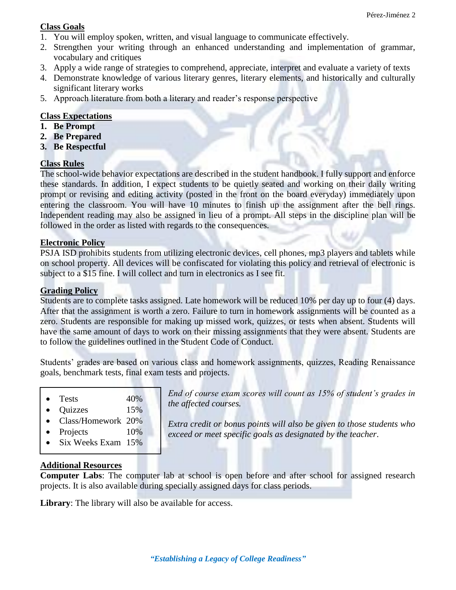## **Class Goals**

- 1. You will employ spoken, written, and visual language to communicate effectively.
- 2. Strengthen your writing through an enhanced understanding and implementation of grammar, vocabulary and critiques
- 3. Apply a wide range of strategies to comprehend, appreciate, interpret and evaluate a variety of texts
- 4. Demonstrate knowledge of various literary genres, literary elements, and historically and culturally significant literary works
- 5. Approach literature from both a literary and reader's response perspective

## **Class Expectations**

- **1. Be Prompt**
- **2. Be Prepared**
- **3. Be Respectful**

### **Class Rules**

The school-wide behavior expectations are described in the student handbook. I fully support and enforce these standards. In addition, I expect students to be quietly seated and working on their daily writing prompt or revising and editing activity (posted in the front on the board everyday) immediately upon entering the classroom. You will have 10 minutes to finish up the assignment after the bell rings. Independent reading may also be assigned in lieu of a prompt. All steps in the discipline plan will be followed in the order as listed with regards to the consequences.

### **Electronic Policy**

PSJA ISD prohibits students from utilizing electronic devices, cell phones, mp3 players and tablets while on school property. All devices will be confiscated for violating this policy and retrieval of electronic is subject to a \$15 fine. I will collect and turn in electronics as I see fit.

#### **Grading Policy**

Students are to complete tasks assigned. Late homework will be reduced 10% per day up to four (4) days. After that the assignment is worth a zero. Failure to turn in homework assignments will be counted as a zero. Students are responsible for making up missed work, quizzes, or tests when absent. Students will have the same amount of days to work on their missing assignments that they were absent. Students are to follow the guidelines outlined in the Student Code of Conduct.

Students' grades are based on various class and homework assignments, quizzes, Reading Renaissance goals, benchmark tests, final exam tests and projects.

| <b>Tests</b> | 40% |
|--------------|-----|

- Quizzes 15%
- Class/Homework 20%
- Projects 10%
- Six Weeks Exam 15%

*End of course exam scores will count as 15% of student's grades in the affected courses.*

*Extra credit or bonus points will also be given to those students who exceed or meet specific goals as designated by the teacher*.

### **Additional Resources**

**Computer Labs**: The computer lab at school is open before and after school for assigned research projects. It is also available during specially assigned days for class periods.

**Library**: The library will also be available for access.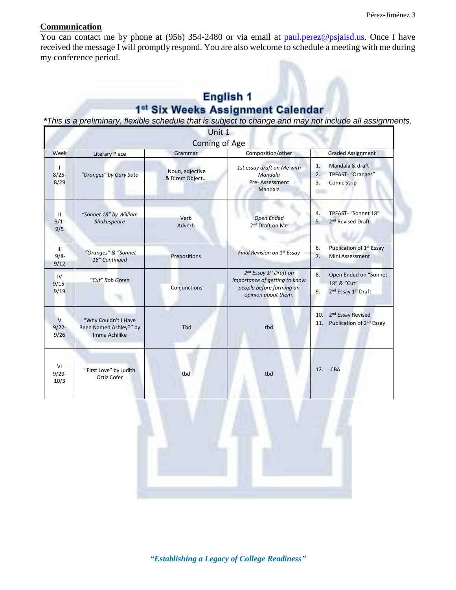# **Communication**

You can contact me by phone at (956) 354-2480 or via email at paul.perez@psjaisd.us. Once I have received the message I will promptly respond. You are also welcome to schedule a meeting with me during my conference period.

# **English 1** 1st Six Weeks Assignment Calendar

*\*This is a preliminary, flexible schedule that is subject to change and may not include all assignments.*

|                                  |                                                                 | Unit 1                             |                                                                                                                                    |                                                                                                 |  |  |
|----------------------------------|-----------------------------------------------------------------|------------------------------------|------------------------------------------------------------------------------------------------------------------------------------|-------------------------------------------------------------------------------------------------|--|--|
| Coming of Age                    |                                                                 |                                    |                                                                                                                                    |                                                                                                 |  |  |
| Week                             | <b>Literary Piece</b>                                           | Grammar                            | Composition/other                                                                                                                  | <b>Graded Assignment</b>                                                                        |  |  |
| $\mathbf{I}$<br>$8/25 -$<br>8/29 | "Oranges" by Gary Soto                                          | Noun, adjective<br>& Direct Object | 1st essay draft on Me with<br>Mandala<br>Pre-Assessment<br>Mandala                                                                 | Mandala & draft<br>1.<br>TPFAST- "Oranges"<br>2.<br>Comic Strip<br>3.                           |  |  |
| $\mathbf{H}$<br>$9/1 -$<br>9/5   | "Sonnet 18" by William<br>Shakespeare                           | Verb<br>Adverb                     | Open Ended<br>2 <sup>nd</sup> Draft on Me                                                                                          | TPFAST- "Sonnet 18"<br>4.<br>2 <sup>nd</sup> Revised Draft<br>5.                                |  |  |
| III<br>$9/8 -$<br>9/12           | "Oranges" & "Sonnet<br>18" Continued                            | Prepositions                       | Final Revision on 1st Essay                                                                                                        | Publication of 1 <sup>st</sup> Essay<br>6.<br>Mini Assessment<br>7.                             |  |  |
| IV<br>$9/15 -$<br>9/19           | "Cut" Bob Green                                                 | Conjunctions                       | 2 <sup>nd</sup> Essay 1 <sup>st</sup> Draft on<br>Importance of getting to know<br>people before forming an<br>opinion about them. | 8.<br>Open Ended on "Sonnet<br>18" & "Cut"<br>2 <sup>nd</sup> Essay 1 <sup>st</sup> Draft<br>9. |  |  |
| $\vee$<br>$9/22 -$<br>9/26       | "Why Couldn't I Have<br>Been Named Ashley?" by<br>Imma Achilike | Tbd                                | tbd                                                                                                                                | 2 <sup>nd</sup> Essay Revised<br>10.<br>Publication of 2 <sup>nd</sup> Essay<br>11.             |  |  |
| VI<br>$9/29 -$<br>10/3           | "First Love" by Judith<br>Ortiz Cofer                           | tbd                                | tbd                                                                                                                                | CBA<br>12.                                                                                      |  |  |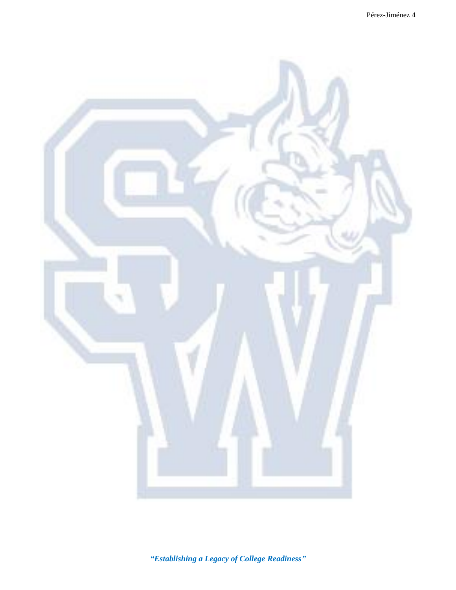